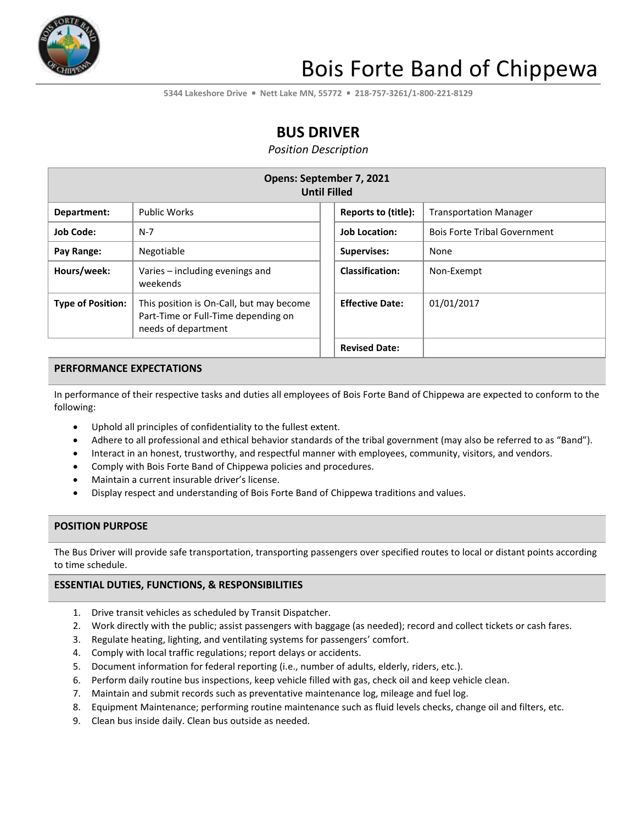

# Bois Forte Band of Chippewa

**5344 Lakeshore Drive** ▪ **Nett Lake MN, 55772** ▪ **218-757-3261/1-800-221-8129**

## **BUS DRIVER**

*Position Description*

| Opens: September 7, 2021<br><b>Until Filled</b> |                                                                                                        |                        |                                     |  |
|-------------------------------------------------|--------------------------------------------------------------------------------------------------------|------------------------|-------------------------------------|--|
| Department:                                     | <b>Public Works</b>                                                                                    | Reports to (title):    | <b>Transportation Manager</b>       |  |
| <b>Job Code:</b>                                | $N-7$                                                                                                  | <b>Job Location:</b>   | <b>Bois Forte Tribal Government</b> |  |
| Pay Range:                                      | Negotiable                                                                                             | Supervises:            | None                                |  |
| Hours/week:                                     | Varies – including evenings and<br>weekends                                                            | <b>Classification:</b> | Non-Exempt                          |  |
| <b>Type of Position:</b>                        | This position is On-Call, but may become<br>Part-Time or Full-Time depending on<br>needs of department | <b>Effective Date:</b> | 01/01/2017                          |  |
|                                                 |                                                                                                        | <b>Revised Date:</b>   |                                     |  |

#### **PERFORMANCE EXPECTATIONS**

In performance of their respective tasks and duties all employees of Bois Forte Band of Chippewa are expected to conform to the following:

- Uphold all principles of confidentiality to the fullest extent.
- Adhere to all professional and ethical behavior standards of the tribal government (may also be referred to as "Band").
- Interact in an honest, trustworthy, and respectful manner with employees, community, visitors, and vendors.
- Comply with Bois Forte Band of Chippewa policies and procedures.
- Maintain a current insurable driver's license.
- Display respect and understanding of Bois Forte Band of Chippewa traditions and values.

#### **POSITION PURPOSE**

The Bus Driver will provide safe transportation, transporting passengers over specified routes to local or distant points according to time schedule.

#### **ESSENTIAL DUTIES, FUNCTIONS, & RESPONSIBILITIES**

- 1. Drive transit vehicles as scheduled by Transit Dispatcher.
- 2. Work directly with the public; assist passengers with baggage (as needed); record and collect tickets or cash fares.
- 3. Regulate heating, lighting, and ventilating systems for passengers' comfort.
- 4. Comply with local traffic regulations; report delays or accidents.
- 5. Document information for federal reporting (i.e., number of adults, elderly, riders, etc.).
- 6. Perform daily routine bus inspections, keep vehicle filled with gas, check oil and keep vehicle clean.
- 7. Maintain and submit records such as preventative maintenance log, mileage and fuel log.
- 8. Equipment Maintenance; performing routine maintenance such as fluid levels checks, change oil and filters, etc.
- 9. Clean bus inside daily. Clean bus outside as needed.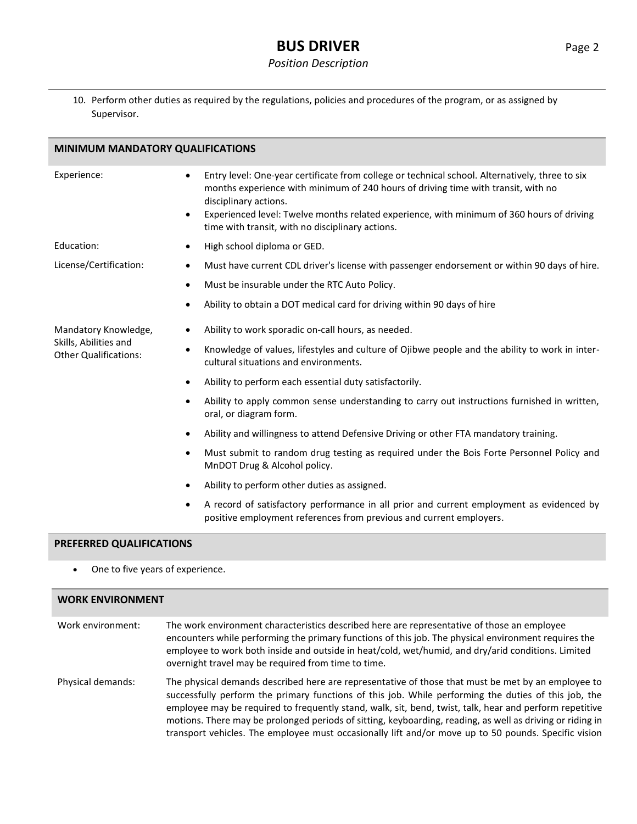### **BUS DRIVER** Page 2

#### *Position Description*

10. Perform other duties as required by the regulations, policies and procedures of the program, or as assigned by Supervisor.

| <b>MINIMUM MANDATORY QUALIFICATIONS</b>               |                                                                                                                                                                                                                                                                                                                                                                                  |  |
|-------------------------------------------------------|----------------------------------------------------------------------------------------------------------------------------------------------------------------------------------------------------------------------------------------------------------------------------------------------------------------------------------------------------------------------------------|--|
| Experience:                                           | Entry level: One-year certificate from college or technical school. Alternatively, three to six<br>٠<br>months experience with minimum of 240 hours of driving time with transit, with no<br>disciplinary actions.<br>Experienced level: Twelve months related experience, with minimum of 360 hours of driving<br>$\bullet$<br>time with transit, with no disciplinary actions. |  |
| Education:                                            | High school diploma or GED.<br>٠                                                                                                                                                                                                                                                                                                                                                 |  |
| License/Certification:                                | Must have current CDL driver's license with passenger endorsement or within 90 days of hire.<br>$\bullet$                                                                                                                                                                                                                                                                        |  |
|                                                       | Must be insurable under the RTC Auto Policy.<br>$\bullet$                                                                                                                                                                                                                                                                                                                        |  |
|                                                       | Ability to obtain a DOT medical card for driving within 90 days of hire<br>٠                                                                                                                                                                                                                                                                                                     |  |
| Mandatory Knowledge,                                  | Ability to work sporadic on-call hours, as needed.<br>٠                                                                                                                                                                                                                                                                                                                          |  |
| Skills, Abilities and<br><b>Other Qualifications:</b> | Knowledge of values, lifestyles and culture of Ojibwe people and the ability to work in inter-<br>$\bullet$<br>cultural situations and environments.                                                                                                                                                                                                                             |  |
|                                                       | Ability to perform each essential duty satisfactorily.<br>٠                                                                                                                                                                                                                                                                                                                      |  |
|                                                       | Ability to apply common sense understanding to carry out instructions furnished in written,<br>$\bullet$<br>oral, or diagram form.                                                                                                                                                                                                                                               |  |
|                                                       | Ability and willingness to attend Defensive Driving or other FTA mandatory training.<br>٠                                                                                                                                                                                                                                                                                        |  |
|                                                       | Must submit to random drug testing as required under the Bois Forte Personnel Policy and<br>$\bullet$<br>MnDOT Drug & Alcohol policy.                                                                                                                                                                                                                                            |  |
|                                                       | Ability to perform other duties as assigned.<br>$\bullet$                                                                                                                                                                                                                                                                                                                        |  |
|                                                       | A record of satisfactory performance in all prior and current employment as evidenced by<br>$\bullet$<br>positive employment references from previous and current employers.                                                                                                                                                                                                     |  |
| PREFERRED QUALIFICATIONS                              |                                                                                                                                                                                                                                                                                                                                                                                  |  |

• One to five years of experience.

### **WORK ENVIRONMENT** Work environment: The work environment characteristics described here are representative of those an employee encounters while performing the primary functions of this job. The physical environment requires the employee to work both inside and outside in heat/cold, wet/humid, and dry/arid conditions. Limited overnight travel may be required from time to time. Physical demands: The physical demands described here are representative of those that must be met by an employee to successfully perform the primary functions of this job. While performing the duties of this job, the employee may be required to frequently stand, walk, sit, bend, twist, talk, hear and perform repetitive motions. There may be prolonged periods of sitting, keyboarding, reading, as well as driving or riding in transport vehicles. The employee must occasionally lift and/or move up to 50 pounds. Specific vision